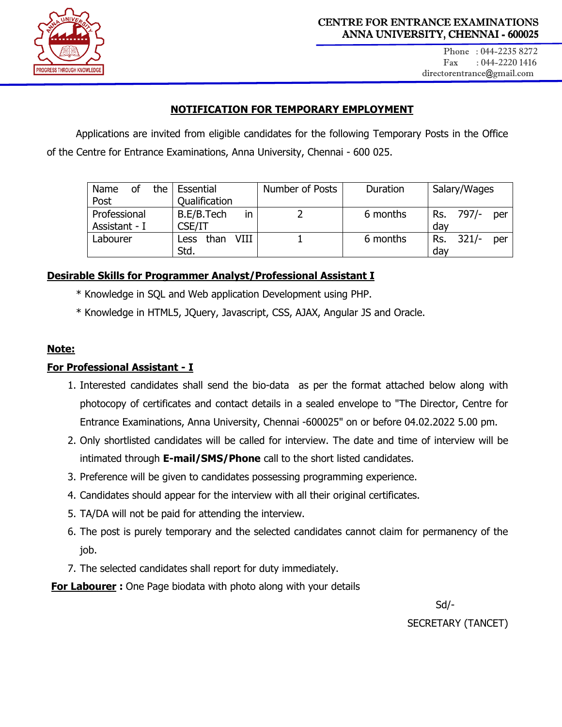

## **NOTIFICATION FOR TEMPORARY EMPLOYMENT**

Applications are invited from eligible candidates for the following Temporary Posts in the Office of the Centre for Entrance Examinations, Anna University, Chennai - 600 025.

| Name          | <sub>of</sub> | the | Essential            |      | Number of Posts | Duration | Salary/Wages          |
|---------------|---------------|-----|----------------------|------|-----------------|----------|-----------------------|
| Post          |               |     | <b>Qualification</b> |      |                 |          |                       |
| Professional  |               |     | B.E/B.Tech           | in   |                 | 6 months | Rs. 797/-<br>per      |
| Assistant - I |               |     | CSE/IT               |      |                 |          | day                   |
| Labourer      |               |     | than<br><b>Less</b>  | VIII |                 | 6 months | $321/-$<br>Rs.<br>per |
|               |               |     | Std.                 |      |                 |          | day                   |

### **Desirable Skills for Programmer Analyst/Professional Assistant I**

- \* Knowledge in SQL and Web application Development using PHP.
- \* Knowledge in HTML5, JQuery, Javascript, CSS, AJAX, Angular JS and Oracle.

#### **Note:**

### **For Professional Assistant - I**

- 1. Interested candidates shall send the bio-data as per the format attached below along with photocopy of certificates and contact details in a sealed envelope to "The Director, Centre for Entrance Examinations, Anna University, Chennai -600025" on or before 04.02.2022 5.00 pm.
- 2. Only shortlisted candidates will be called for interview. The date and time of interview will be intimated through **E-mail/SMS/Phone** call to the short listed candidates.
- 3. Preference will be given to candidates possessing programming experience.
- 4. Candidates should appear for the interview with all their original certificates.
- 5. TA/DA will not be paid for attending the interview.
- 6. The post is purely temporary and the selected candidates cannot claim for permanency of the job.
- 7. The selected candidates shall report for duty immediately.

**For Labourer :** One Page biodata with photo along with your details

 Sd/- SECRETARY (TANCET)